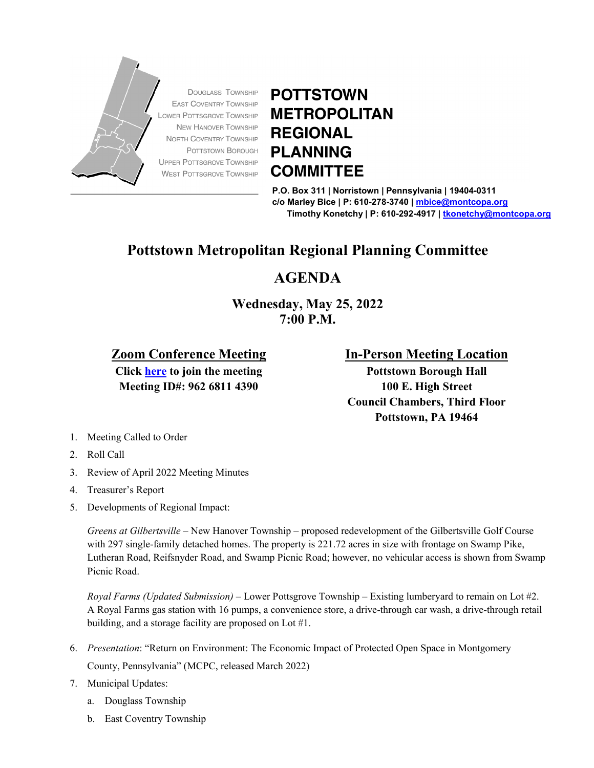

## **POTTSTOWN METROPOLITAN REGIONAL PLANNING COMMITTEE**

**P.O. Box 311 | Norristown | Pennsylvania | 19404-0311 c/o Marley Bice | P: 610-278-3740 | [mbice@montcopa.org](mailto:mbice@montcopa.org) Timothy Konetchy | P: 610-292-4917 [| tkonetchy@montcopa.org](mailto:tkonetchy@montcopa.org)**

## **Pottstown Metropolitan Regional Planning Committee**

## **AGENDA**

**Wednesday, May 25, 2022 7:00 P.M.**

## **Zoom Conference Meeting**

**Click [here](https://zoom.us/j/96268114390) to join the meeting Meeting ID#: 962 6811 4390**

**In-Person Meeting Location**

**Pottstown Borough Hall 100 E. High Street Council Chambers, Third Floor Pottstown, PA 19464**

- 1. Meeting Called to Order
- 2. Roll Call
- 3. Review of April 2022 Meeting Minutes
- 4. Treasurer's Report
- 5. Developments of Regional Impact:

*Greens at Gilbertsville* – New Hanover Township – proposed redevelopment of the Gilbertsville Golf Course with 297 single-family detached homes. The property is 221.72 acres in size with frontage on Swamp Pike, Lutheran Road, Reifsnyder Road, and Swamp Picnic Road; however, no vehicular access is shown from Swamp Picnic Road.

*Royal Farms (Updated Submission)* – Lower Pottsgrove Township – Existing lumberyard to remain on Lot #2. A Royal Farms gas station with 16 pumps, a convenience store, a drive-through car wash, a drive-through retail building, and a storage facility are proposed on Lot #1.

- 6. *Presentation*: "Return on Environment: The Economic Impact of Protected Open Space in Montgomery County, Pennsylvania" (MCPC, released March 2022)
- 7. Municipal Updates:
	- a. Douglass Township
	- b. East Coventry Township